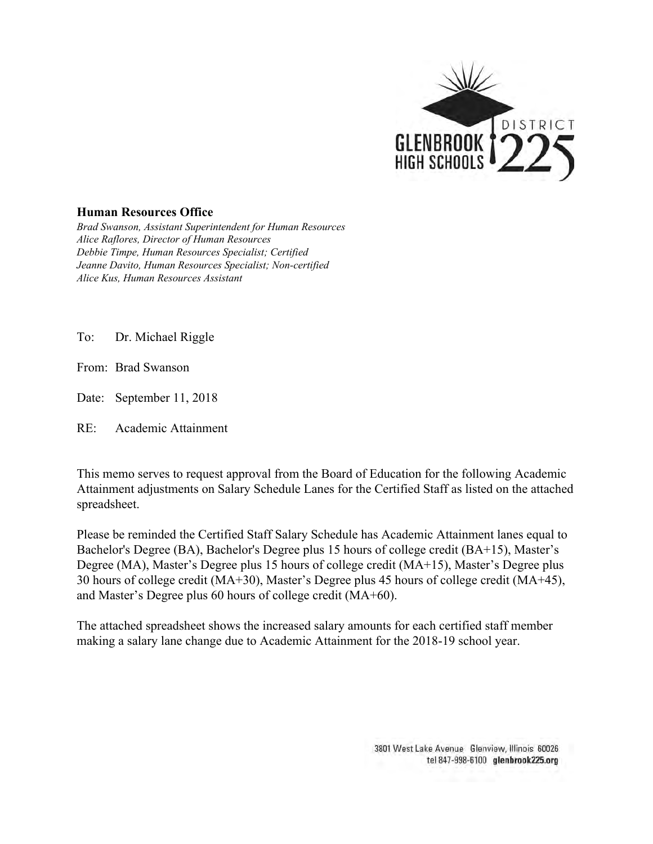

## **Human Resources Office**

*Brad Swanson, Assistant Superintendent for Human Resources Alice Raflores, Director of Human Resources Debbie Timpe, Human Resources Specialist; Certified Jeanne Davito, Human Resources Specialist; Non-certified Alice Kus, Human Resources Assistant*

To: Dr. Michael Riggle

From: Brad Swanson

Date: September 11, 2018

RE: Academic Attainment

This memo serves to request approval from the Board of Education for the following Academic Attainment adjustments on Salary Schedule Lanes for the Certified Staff as listed on the attached spreadsheet.

Please be reminded the Certified Staff Salary Schedule has Academic Attainment lanes equal to Bachelor's Degree (BA), Bachelor's Degree plus 15 hours of college credit (BA+15), Master's Degree (MA), Master's Degree plus 15 hours of college credit (MA+15), Master's Degree plus 30 hours of college credit (MA+30), Master's Degree plus 45 hours of college credit (MA+45), and Master's Degree plus 60 hours of college credit (MA+60).

The attached spreadsheet shows the increased salary amounts for each certified staff member making a salary lane change due to Academic Attainment for the 2018-19 school year.

> 3801 West Lake Avenue Glenview, Illinois 60026 tel 847-998-6100 glenbrook225.org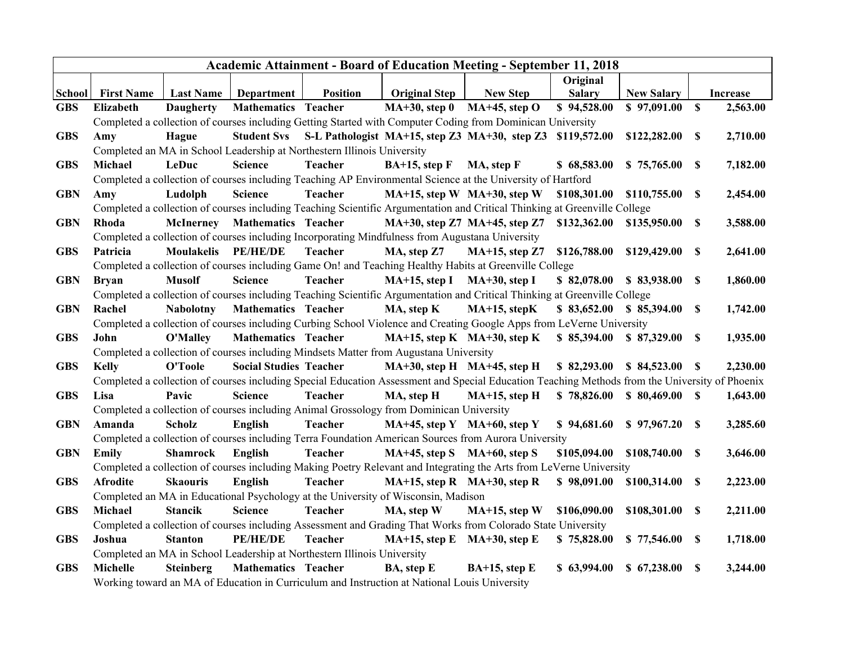| <b>Academic Attainment - Board of Education Meeting - September 11, 2018</b> |                                                                                                                                                                                      |                   |                               |                                                                         |                                                                                       |                                                                                                                           |                          |                          |    |                 |  |
|------------------------------------------------------------------------------|--------------------------------------------------------------------------------------------------------------------------------------------------------------------------------------|-------------------|-------------------------------|-------------------------------------------------------------------------|---------------------------------------------------------------------------------------|---------------------------------------------------------------------------------------------------------------------------|--------------------------|--------------------------|----|-----------------|--|
|                                                                              |                                                                                                                                                                                      |                   |                               |                                                                         |                                                                                       |                                                                                                                           | Original                 |                          |    |                 |  |
| School                                                                       | <b>First Name</b>                                                                                                                                                                    | <b>Last Name</b>  | Department                    | <b>Position</b>                                                         | <b>Original Step</b>                                                                  | <b>New Step</b>                                                                                                           | <b>Salary</b>            | <b>New Salary</b>        |    | <b>Increase</b> |  |
| <b>GBS</b>                                                                   | Elizabeth                                                                                                                                                                            | <b>Daugherty</b>  | <b>Mathematics Teacher</b>    |                                                                         | $MA+30$ , step 0                                                                      | $MA+45$ , step O                                                                                                          | \$94,528.00              | \$97,091.00              | \$ | 2,563.00        |  |
|                                                                              | Completed a collection of courses including Getting Started with Computer Coding from Dominican University<br>Student Svs S-L Pathologist MA+15, step Z3 MA+30, step Z3 \$119,572.00 |                   |                               |                                                                         |                                                                                       |                                                                                                                           |                          |                          |    |                 |  |
| <b>GBS</b>                                                                   | Amy                                                                                                                                                                                  | Hague             |                               |                                                                         |                                                                                       |                                                                                                                           |                          | \$122,282.00             | \$ | 2,710.00        |  |
|                                                                              |                                                                                                                                                                                      |                   |                               | Completed an MA in School Leadership at Northestern Illinois University |                                                                                       |                                                                                                                           |                          |                          |    |                 |  |
| <b>GBS</b>                                                                   | Michael                                                                                                                                                                              | LeDuc             | <b>Science</b>                | <b>Teacher</b>                                                          | $BA+15$ , step F                                                                      | MA, step F                                                                                                                | \$68,583.00              | \$75,765.00              | -S | 7,182.00        |  |
|                                                                              | Completed a collection of courses including Teaching AP Environmental Science at the University of Hartford                                                                          |                   |                               |                                                                         |                                                                                       |                                                                                                                           |                          |                          |    |                 |  |
| <b>GBN</b>                                                                   | Amy                                                                                                                                                                                  | Ludolph           | <b>Science</b>                | <b>Teacher</b>                                                          |                                                                                       | $MA+15$ , step W $MA+30$ , step W                                                                                         | \$108,301.00             | \$110,755.00             | \$ | 2,454.00        |  |
|                                                                              | Completed a collection of courses including Teaching Scientific Argumentation and Critical Thinking at Greenville College                                                            |                   |                               |                                                                         |                                                                                       |                                                                                                                           |                          |                          |    |                 |  |
| <b>GBN</b>                                                                   | Rhoda                                                                                                                                                                                |                   | McInerney Mathematics Teacher |                                                                         |                                                                                       | MA+30, step Z7 MA+45, step Z7 \$132,362.00                                                                                |                          | \$135,950.00             | \$ | 3,588.00        |  |
|                                                                              | Completed a collection of courses including Incorporating Mindfulness from Augustana University                                                                                      |                   |                               |                                                                         |                                                                                       |                                                                                                                           |                          |                          |    |                 |  |
| <b>GBS</b>                                                                   | Patricia                                                                                                                                                                             | <b>Moulakelis</b> | PE/HE/DE                      | <b>Teacher</b>                                                          | MA, step Z7                                                                           | $MA+15$ , step Z7                                                                                                         | \$126,788.00             | \$129,429.00             | S  | 2,641.00        |  |
|                                                                              | Completed a collection of courses including Game On! and Teaching Healthy Habits at Greenville College                                                                               |                   |                               |                                                                         |                                                                                       |                                                                                                                           |                          |                          |    |                 |  |
| <b>GBN</b>                                                                   | <b>Bryan</b>                                                                                                                                                                         | <b>Musolf</b>     | <b>Science</b>                | <b>Teacher</b>                                                          | MA+15, step I MA+30, step I                                                           |                                                                                                                           | \$82,078.00              | \$83,938.00              | S  | 1,860.00        |  |
|                                                                              |                                                                                                                                                                                      |                   |                               |                                                                         |                                                                                       | Completed a collection of courses including Teaching Scientific Argumentation and Critical Thinking at Greenville College |                          |                          |    |                 |  |
| <b>GBN</b>                                                                   | Rachel                                                                                                                                                                               | <b>Nabolotny</b>  | <b>Mathematics Teacher</b>    |                                                                         | MA, step K                                                                            | $MA+15$ , stepK                                                                                                           |                          | $$83,652.00 \$85,394.00$ | \$ | 1,742.00        |  |
|                                                                              | Completed a collection of courses including Curbing School Violence and Creating Google Apps from LeVerne University                                                                 |                   |                               |                                                                         |                                                                                       |                                                                                                                           |                          |                          |    |                 |  |
| <b>GBS</b>                                                                   | John                                                                                                                                                                                 | <b>O'Malley</b>   | <b>Mathematics Teacher</b>    |                                                                         |                                                                                       | $MA+15$ , step K $MA+30$ , step K                                                                                         | \$85,394.00              | \$87,329.00              | -S | 1,935.00        |  |
|                                                                              |                                                                                                                                                                                      |                   |                               |                                                                         | Completed a collection of courses including Mindsets Matter from Augustana University |                                                                                                                           |                          |                          |    |                 |  |
| <b>GBS</b>                                                                   | <b>Kelly</b>                                                                                                                                                                         | O'Toole           | <b>Social Studies Teacher</b> |                                                                         | MA+30, step H MA+45, step H                                                           |                                                                                                                           | \$82,293.00              |                          |    | 2,230.00        |  |
|                                                                              | Completed a collection of courses including Special Education Assessment and Special Education Teaching Methods from the University of Phoenix                                       |                   |                               |                                                                         |                                                                                       |                                                                                                                           |                          |                          |    |                 |  |
| <b>GBS</b>                                                                   | Lisa                                                                                                                                                                                 | Pavic             | <b>Science</b>                | <b>Teacher</b>                                                          | MA, step H                                                                            | $MA+15$ , step H                                                                                                          | \$78,826.00              | $$80,469.00$ \ \$        |    | 1,643.00        |  |
|                                                                              | Completed a collection of courses including Animal Grossology from Dominican University                                                                                              |                   |                               |                                                                         |                                                                                       |                                                                                                                           |                          |                          |    |                 |  |
| <b>GBN</b>                                                                   | Amanda                                                                                                                                                                               | <b>Scholz</b>     | English                       | <b>Teacher</b>                                                          | MA+45, step Y MA+60, step Y                                                           |                                                                                                                           | \$94,681.60              | \$97,967.20              | S  | 3,285.60        |  |
|                                                                              | Completed a collection of courses including Terra Foundation American Sources from Aurora University                                                                                 |                   |                               |                                                                         |                                                                                       |                                                                                                                           |                          |                          |    |                 |  |
| <b>GBN</b>                                                                   | <b>Emily</b>                                                                                                                                                                         | <b>Shamrock</b>   | English                       | <b>Teacher</b>                                                          | $MA+45$ , step S $MA+60$ , step S                                                     |                                                                                                                           | \$105,094.00             | \$108,740.00             | S  | 3,646.00        |  |
|                                                                              | Completed a collection of courses including Making Poetry Relevant and Integrating the Arts from LeVerne University                                                                  |                   |                               |                                                                         |                                                                                       |                                                                                                                           |                          |                          |    |                 |  |
| <b>GBS</b>                                                                   | <b>Afrodite</b>                                                                                                                                                                      | <b>Skaouris</b>   | English                       | <b>Teacher</b>                                                          | $MA+15$ , step R $MA+30$ , step R                                                     |                                                                                                                           | \$98,091.00 \$100,314.00 |                          | \$ | 2,223.00        |  |
|                                                                              |                                                                                                                                                                                      |                   |                               |                                                                         | Completed an MA in Educational Psychology at the University of Wisconsin, Madison     |                                                                                                                           |                          |                          |    |                 |  |
| <b>GBS</b>                                                                   | Michael                                                                                                                                                                              | <b>Stancik</b>    | Science                       | <b>Teacher</b>                                                          | MA, step W                                                                            | $MA+15$ , step W                                                                                                          | \$106,090.00             | \$108,301.00             | S  | 2,211.00        |  |
|                                                                              | Completed a collection of courses including Assessment and Grading That Works from Colorado State University                                                                         |                   |                               |                                                                         |                                                                                       |                                                                                                                           |                          |                          |    |                 |  |
| <b>GBS</b>                                                                   | Joshua                                                                                                                                                                               | <b>Stanton</b>    | PE/HE/DE                      | <b>Teacher</b>                                                          | $MA+15$ , step E $MA+30$ , step E                                                     |                                                                                                                           | \$75,828.00              | \$77,546.00              | -S | 1,718.00        |  |
|                                                                              |                                                                                                                                                                                      |                   |                               | Completed an MA in School Leadership at Northestern Illinois University |                                                                                       |                                                                                                                           |                          |                          |    |                 |  |
| <b>GBS</b>                                                                   | Michelle                                                                                                                                                                             | <b>Steinberg</b>  | <b>Mathematics Teacher</b>    |                                                                         | BA, step E                                                                            | $BA+15$ , step E                                                                                                          | \$63,994.00              | \$67,238.00              | \$ | 3,244.00        |  |
|                                                                              | Working toward an MA of Education in Curriculum and Instruction at National Louis University                                                                                         |                   |                               |                                                                         |                                                                                       |                                                                                                                           |                          |                          |    |                 |  |